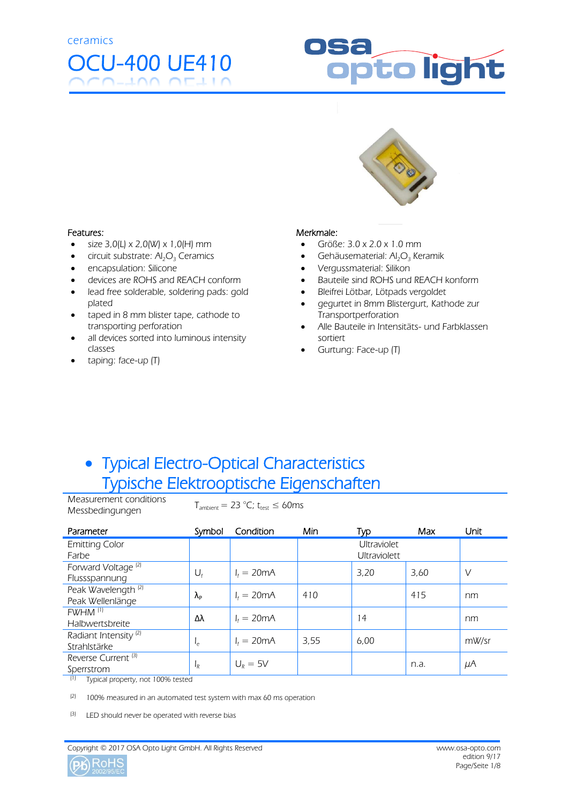# OCU-400 UE410

# ppto light



#### Features:

- $\bullet$  size 3,0(L) x 2,0(W) x 1,0(H) mm
- $\bullet$  circuit substrate:  $Al_2O_3$  Ceramics
- encapsulation: Silicone
- devices are ROHS and REACH conform
- lead free solderable, soldering pads: gold plated
- taped in 8 mm blister tape, cathode to transporting perforation
- all devices sorted into luminous intensity classes
- taping: face-up (T)

#### Merkmale:

- $\bullet$  Größe: 3.0 x 2.0 x 1.0 mm
- Gehäusematerial:  $Al_2O_3$  Keramik
- Vergussmaterial: Silikon
- Bauteile sind ROHS und REACH konform
- Bleifrei Lötbar, Lötpads vergoldet
- gegurtet in 8mm Blistergurt, Kathode zur Transportperforation
- Alle Bauteile in Intensitäts- und Farbklassen sortiert
- Gurtung: Face-up (T)

#### Typical Electro-Optical Characteristics Typische Elektrooptische Eigenschaften

Measurement conditions Messbedingungen  $T_{\text{ambient}} = 23 \text{ °C}$ ; t<sub>test</sub>  $\leq 60 \text{ ms}$ 

| Parameter                        | Symbol            | Condition            | Min                 | Typ                | Max  | Unit    |
|----------------------------------|-------------------|----------------------|---------------------|--------------------|------|---------|
| <b>Emitting Color</b>            |                   |                      |                     | <b>Ultraviolet</b> |      |         |
| Farbe                            |                   |                      | <b>Ultraviolett</b> |                    |      |         |
| Forward Voltage <sup>(2)</sup>   |                   | $I_f = 20 \text{mA}$ |                     | 3.20               | 3.60 | V       |
| Flussspannung                    | $U_{f}$           |                      |                     |                    |      |         |
| Peak Wavelength <sup>(2)</sup>   | $\lambda_{\rm P}$ | $l = 20mA$           | 410                 |                    | 415  | nm      |
| Peak Wellenlänge                 |                   |                      |                     |                    |      |         |
| FWHM <sup>(1)</sup>              | Δλ                | $I_f = 20 \text{mA}$ |                     | 14                 |      | nm      |
| Halbwertsbreite                  |                   |                      |                     |                    |      |         |
| Radiant Intensity <sup>(2)</sup> |                   | $I_f = 20 \text{mA}$ | 3,55                | 6,00               |      | mW/sr   |
| Strahlstärke                     | م⊧                |                      |                     |                    |      |         |
| Reverse Current <sup>[3]</sup>   |                   | $U_R = 5V$           |                     |                    |      |         |
| Sperrstrom                       | ΙŖ                |                      |                     |                    | n.a. | $\mu$ A |

(1) Typical property, not 100% tested

 $(2)$  100% measured in an automated test system with max 60 ms operation

(3) LED should never be operated with reverse bias

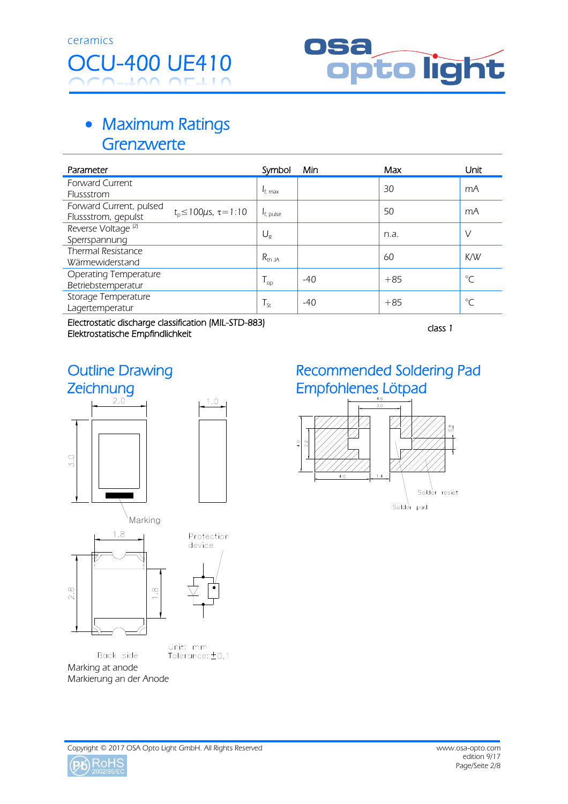

#### • Maximum Ratings **Grenzwerte**

| Parameter                                                  | Symbol                     | Min   | Max   | Unit         |
|------------------------------------------------------------|----------------------------|-------|-------|--------------|
| <b>Forward Current</b>                                     |                            |       | 30    | mA           |
| Flussstrom                                                 | $I_{f, max}$               |       |       |              |
| Forward Current, pulsed                                    |                            |       | 50    | mA           |
| $t_0 \le 100 \mu s$ , $\tau = 1:10$<br>Flussstrom, gepulst | $I_{f, pulse}$             |       |       |              |
| Reverse Voltage <sup>(2)</sup>                             |                            |       |       | $\vee$       |
| Sperrspannung                                              | $U_{R}$                    |       | n.a.  |              |
| Thermal Resistance                                         |                            |       | 60    | K/W          |
| Wärmewiderstand                                            | $R_{thJA}$                 |       |       |              |
| Operating Temperature                                      |                            | $-40$ | $+85$ | $^{\circ}C$  |
| Betriebstemperatur                                         | $\mathsf{I}_{\mathsf{OD}}$ |       |       |              |
| Storage Temperature                                        |                            | $-40$ | $+85$ | $^{\circ}$ C |
| Lagertemperatur                                            | $T_{\rm St}$               |       |       |              |

Electrostatic discharge classification (MIL-STD-883) Elektrostatic discriarge classification (MIL-31D-883)<br>Elektrostatische Empfindlichkeit

 $1.0$ 

# Outline Drawing Zeichnung





Unit: mm Tolerance: ±0,1 Back side Marking at anode Markierung an der Anode

#### Recommended Soldering Pad Empfohlenes Lötpad



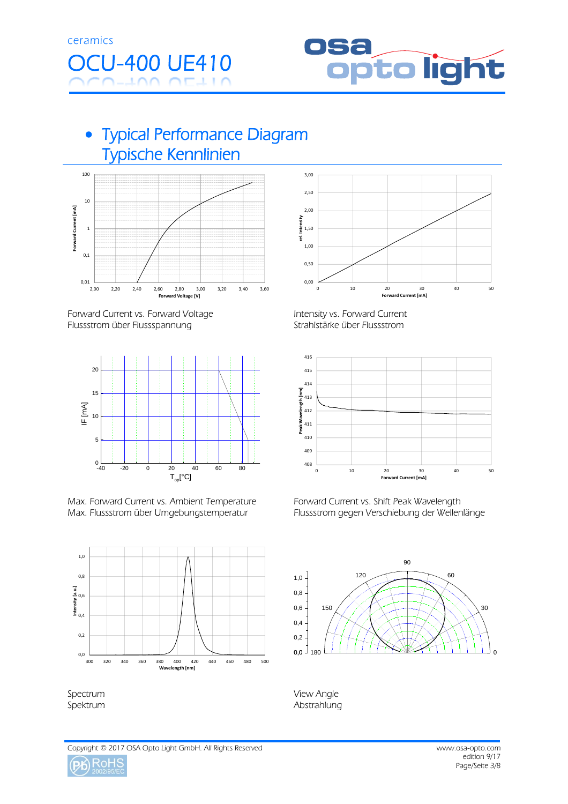



#### Typical Performance Diagram Typische Kennlinien



Forward Current vs. Forward Voltage Flussstrom über Flussspannung



Max. Forward Current vs. Ambient Temperature Max. Flussstrom über Umgebungstemperatur



Spectrum Spektrum



 Intensity vs. Forward Current Strahlstärke über Flussstrom



 Forward Current vs. Shift Peak Wavelength Flussstrom gegen Verschiebung der Wellenlänge



 View Angle Abstrahlung

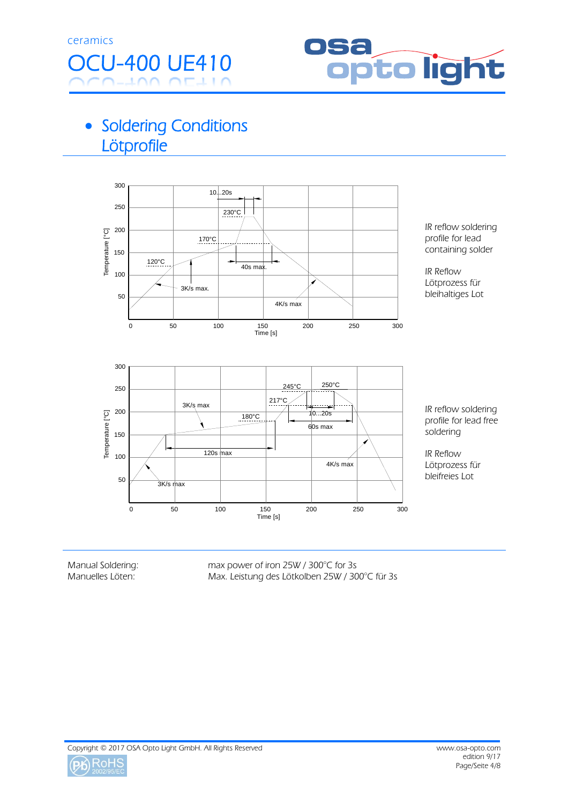



### • Soldering Conditions **Lötprofile**



Manual Soldering: Manuelles Löten:

max power of iron 25W / 300°C for 3s Max. Leistung des Lötkolben 25W / 300°C für 3s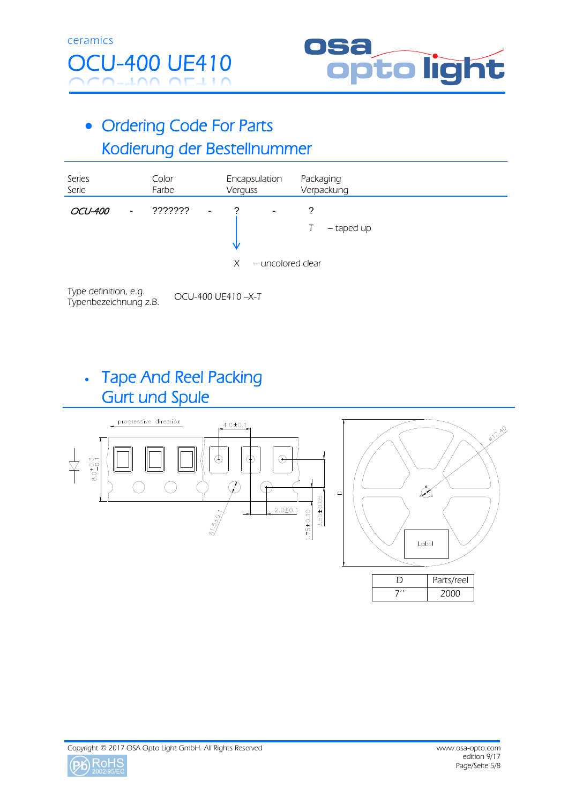



## • Ordering Code For Parts Kodierung der Bestellnummer

| Series<br>Serie |                | Color<br>Farbe |                | Verguss     | Encapsulation          |        | Packaging<br>Verpackung |  |
|-----------------|----------------|----------------|----------------|-------------|------------------------|--------|-------------------------|--|
| <b>OCU-400</b>  | $\blacksquare$ | ???????        | $\overline{a}$ | ာ<br>V<br>X | ٠<br>- uncolored clear | ?<br>T | - taped up              |  |

Type definition, e.g. OCU-400 UE410 –X-T Typenbezeichnung z.B.

#### Tape And Reel Packing Gurt und Spule

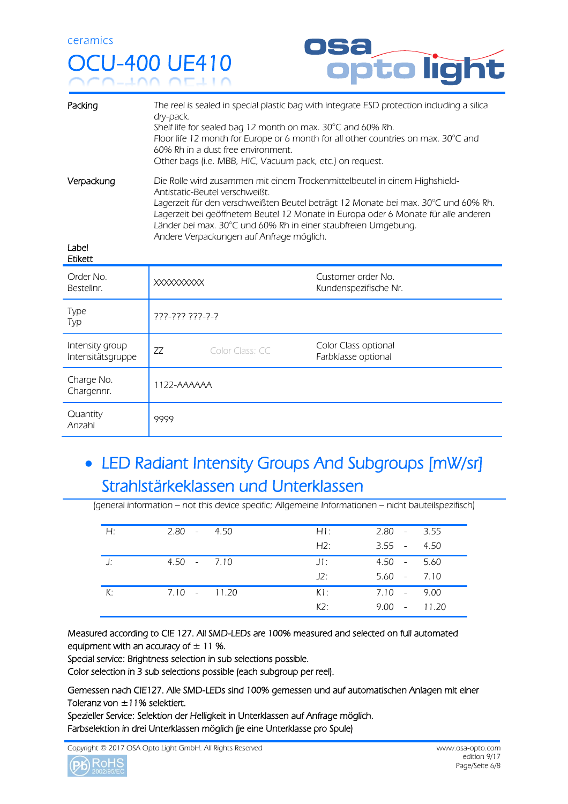# OCU-400 UE410



| Packing                              | The reel is sealed in special plastic bag with integrate ESD protection including a silica<br>dry-pack.<br>Shelf life for sealed bag 12 month on max. 30°C and 60% Rh.<br>Floor life 12 month for Europe or 6 month for all other countries on max. 30°C and<br>60% Rh in a dust free environment.<br>Other bags (i.e. MBB, HIC, Vacuum pack, etc.) on request.                                        |                                             |  |  |  |  |
|--------------------------------------|--------------------------------------------------------------------------------------------------------------------------------------------------------------------------------------------------------------------------------------------------------------------------------------------------------------------------------------------------------------------------------------------------------|---------------------------------------------|--|--|--|--|
| Verpackung<br>Label<br>Etikett       | Die Rolle wird zusammen mit einem Trockenmittelbeutel in einem Highshield-<br>Antistatic-Beutel verschweißt.<br>Lagerzeit für den verschweißten Beutel beträgt 12 Monate bei max. 30°C und 60% Rh.<br>Lagerzeit bei geöffnetem Beutel 12 Monate in Europa oder 6 Monate für alle anderen<br>Länder bei max. 30°C und 60% Rh in einer staubfreien Umgebung.<br>Andere Verpackungen auf Anfrage möglich. |                                             |  |  |  |  |
|                                      |                                                                                                                                                                                                                                                                                                                                                                                                        |                                             |  |  |  |  |
| Order No.<br>Bestellnr.              | <b>XXXXXXXXXX</b>                                                                                                                                                                                                                                                                                                                                                                                      | Customer order No.<br>Kundenspezifische Nr. |  |  |  |  |
| Type<br>Typ                          | 777-777 777-7-7                                                                                                                                                                                                                                                                                                                                                                                        |                                             |  |  |  |  |
| Intensity group<br>Intensitätsgruppe | 77<br>Color Class: CC                                                                                                                                                                                                                                                                                                                                                                                  | Color Class optional<br>Farbklasse optional |  |  |  |  |
| Charge No.<br>Chargennr.             | 1122-AAAAAA                                                                                                                                                                                                                                                                                                                                                                                            |                                             |  |  |  |  |

## • LED Radiant Intensity Groups And Subgroups [mW/sr] Strahlstärkeklassen und Unterklassen

(general information – not this device specific; Allgemeine Informationen – nicht bauteilspezifisch)

| Н: | $2.80 - 4.50$ | $H1$ : | $2.80 - 3.55$  |  |
|----|---------------|--------|----------------|--|
|    |               | H2:    | $3.55 - 4.50$  |  |
| J: | $4.50 - 7.10$ | $J1$ : | $4.50 - 5.60$  |  |
|    |               | J2:    | $5.60 - 7.10$  |  |
| К: | 7.10 - 11.20  | K1:    | 7.10 - 9.00    |  |
|    |               | K2:    | $9.00 - 11.20$ |  |

Measured according to CIE 127. All SMD-LEDs are 100% measured and selected on full automated equipment with an accuracy of  $\pm$  11 %.

Special service: Brightness selection in sub selections possible.

Color selection in 3 sub selections possible (each subgroup per reel).

Gemessen nach CIE127. Alle SMD-LEDs sind 100% gemessen und auf automatischen Anlagen mit einer Toleranz von  $\pm$ 11% selektiert.

Spezieller Service: Selektion der Helligkeit in Unterklassen auf Anfrage möglich. Farbselektion in drei Unterklassen möglich (je eine Unterklasse pro Spule)

Copyright © 2017 OSA Opto Light GmbH. All Rights Reserved www.osa-opto.com

$$
\text{\textcircled{\textsf{Pb}}} \underset{\text{2002/95/EC}}{\text{RoHS}}
$$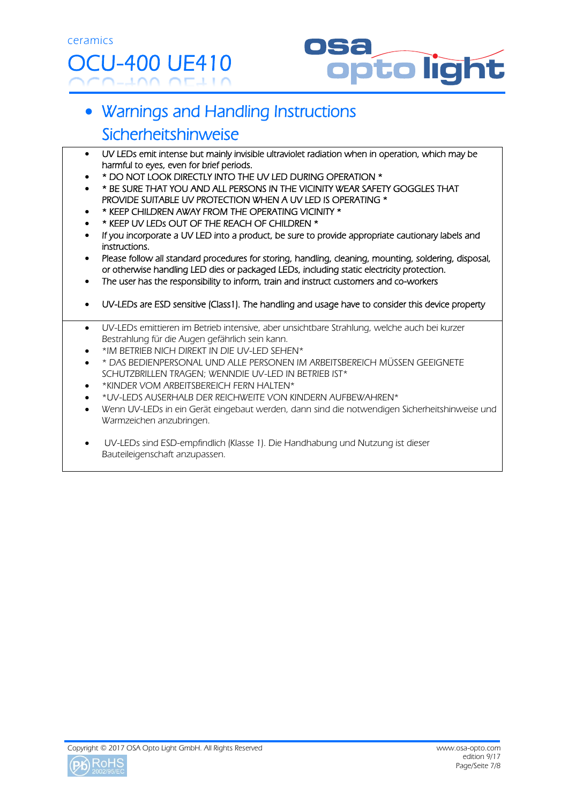

# Warnings and Handling Instructions Sicherheitshinweise

- UV LEDs emit intense but mainly invisible ultraviolet radiation when in operation, which may be harmful to eyes, even for brief periods.
- \* DO NOT LOOK DIRECTLY INTO THE UV LED DURING OPERATION \*
- \* BE SURE THAT YOU AND ALL PERSONS IN THE VICINITY WEAR SAFETY GOGGLES THAT PROVIDE SUITABLE UV PROTECTION WHEN A UV LED IS OPERATING \*
- \* KEEP CHILDREN AWAY FROM THE OPERATING VICINITY \*
- \* KEEP UV LEDs OUT OF THE REACH OF CHILDREN \*
- If you incorporate a UV LED into a product, be sure to provide appropriate cautionary labels and instructions.
- Please follow all standard procedures for storing, handling, cleaning, mounting, soldering, disposal, or otherwise handling LED dies or packaged LEDs, including static electricity protection.
- The user has the responsibility to inform, train and instruct customers and co-workers
- UV-LEDs are ESD sensitive (Class1). The handling and usage have to consider this device property
- UV-LEDs emittieren im Betrieb intensive, aber unsichtbare Strahlung, welche auch bei kurzer Bestrahlung für die Augen gefährlich sein kann.
- \*IM BETRIEB NICH DIREKT IN DIE UV-LED SEHEN\*
- \* DAS BEDIENPERSONAL UND ALLE PERSONEN IM ARBEITSBEREICH MÜSSEN GEEIGNETE SCHUTZBRILLEN TRAGEN; WENNDIE UV-LED IN BETRIEB IST\*
- \*KINDER VOM ARBEITSBEREICH FERN HALTEN\*
- \*UV-LEDS AUSERHALB DER REICHWEITE VON KINDERN AUFBEWAHREN\*
- Wenn UV-LEDs in ein Gerät eingebaut werden, dann sind die notwendigen Sicherheitshinweise und Warmzeichen anzubringen.
- UV-LEDs sind ESD-empfindlich (Klasse 1). Die Handhabung und Nutzung ist dieser Bauteileigenschaft anzupassen.